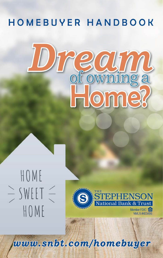### HOMEBUYER HANDBOOK



### HOME  $\frac{1}{2}$  SWEET  $\frac{2}{3}$ HOME



**NMLS #403495** 

www.snbt.com/homebuyer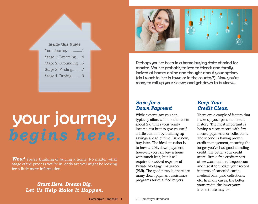

# your journey

*Wow!* You're thinking of buying a home! No matter what stage of the process you're in, odds are you might be looking for a little more information.

### *Start Here. Dream Big. Let Us Help Make It Happen.*



Perhaps you've been in a home buying state of mind for months. You've probably talked to friends and family, looked at homes online and thought about your options (do I want to live in town or in the country?). Now you're ready to roll up your sleeves and get down to business...

### *Save for a Down Payment*

While experts say you can typically afford a home that costs about 2½ times your yearly income, it's best to give yourself a little cushion by building up savings ahead of time. Save now, buy later. The ideal situation is to have a 20% down payment; however, you can buy a home with much less, but it will require the added expense of Private Mortgage Insurance (PMI). The good news is, there are many down payment assistance programs for qualified buyers.

### *Keep Your Credit Clean*

There are a couple of factors that make up your personal credit history. The most important is having a clean record with few missed payments or collections. The second is having proven credit management, meaning the longer you've had good standing credit, the better your credit score. Run a free credit report at www.annualcreditreport.com and use it to update your record in terms of canceled cards, medical bills, paid collections, etc. In many cases, the better your credit, the lower your interest rate may be.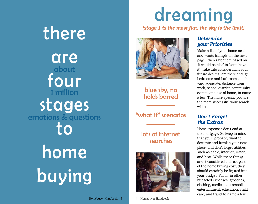there are four stages to home buying about 1 million emotions & questions

### dreaming

*{stage 1 is the most fun, the sky is the limit}*



blue sky, no holds barred

"what if" scenarios

### lots of internet searches



#### Homebuyer Handbook | 3 4 | Homebuyer Handbook

### *Determine your Priorities*

Make a list of your home needs and wants (sample on the next page), then rate them based on 'it would be nice' to 'gotta have it!' Take into consideration your future desires: are there enough bedrooms and bathrooms, is the yard adequate, distance from work, school district, community events, and age of home, to name a few. The more specific you are, the more successful your search will be.

### *Don't Forget the Extras*

Home expenses don't end at the mortgage. So keep in mind that you'll probably want to decorate and furnish your new place, and don't forget utilities such as cable, internet, water, and heat. While these things aren't considered a direct part of the home buying cost, they should certainly be figured into your budget. Factor in other budgeted expenses: groceries, clothing, medical, automobile, entertainment, education, child care, and travel to name a few.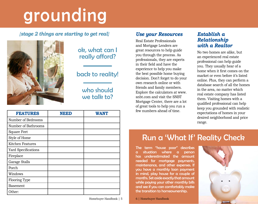## grounding

### *{stage 2 things are starting to get real}*



### ok, what can I really afford?

### back to reality!

### who should we talk to?

| <b>FEATURES</b>     | NEED | <b>WANT</b> | few numbers ahead of time.                                    |
|---------------------|------|-------------|---------------------------------------------------------------|
| Number of Bedrooms  |      |             |                                                               |
| Number of Bathrooms |      |             |                                                               |
| <b>Square Feet</b>  |      |             |                                                               |
| Style of Home       |      |             | Run a 'Who                                                    |
| Kitchen Features    |      |             |                                                               |
| Yard Specifications |      |             | The term "house poor"<br>situation where                      |
| Fireplace           |      |             | has underestimated the                                        |
| Garage Stalls       |      |             | needed for mortgage p                                         |
| Porch               |      |             | maintenance, and other ex<br>you have a monthly loan          |
| Windows             |      |             | in mind, play house for a                                     |
| Flooring Type       |      |             | months. Set aside exactly that<br>while paying your other mor |
| Basement            |      |             | and see if you can comfortal                                  |
| Other:              |      |             | the transition to homeowner                                   |

#### Homebuyer Handbook | 5 6 | Homebuyer Handbook

### *Use your Resources*

Real Estate Professionals and Mortgage Lenders are great resources to help guide you through the process. As professionals, they are experts in their field and have the experience to help you make the best possible home buying decision. Don't forget to do your own research online or with friends and family members. Explore the calculators at www. snbt.com and visit the SNBT Mortgage Center, there are a lot of great tools to help you run a

### *Establish a Relationship with a Realtor*

No two homes are alike, but an experienced real estate professional can help guide you. They usually hear of a home when it first comes on the market or even before it's listed online. Plus, they can perform a database search of all the homes in the area, no matter which real estate company has listed them. Visiting homes with a qualified professional can help keep you grounded with realistic expectations of homes in your desired neighborhood and price range.

### Run a 'What If' Reality Check

The term "house poor" describes a situation where a person has underestimated the amount needed for mortgage payments, maintenance, and other expenses. If you have a monthly loan payment in mind, play house for a couple of months. Set aside exactly that amount while paying your other monthly bills and see if you can comfortably make the transition to homeownership.

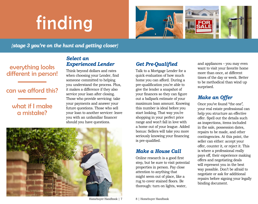# finding



*{stage 3 you're on the hunt and getting closer}*

### everything looks different in person!

### can we afford this?

### what if I make a mistake?

### *Select an Experienced Lender*

Think beyond dollars and rates when choosing your Lender, find someone committed to helping you understand the process. Plus, it makes a difference if they also service your loan after closing. Those who provide servicing: take your payments and answer your future questions. Those who sell your loan to another servicer: leave you with an unfamiliar financer should you have questions.



### *Get Pre-Qualified*

Talk to a Mortgage Lender for a quick evaluation of how much home you can afford. During a pre-qualification you're able to give the lender a snapshot of your finances so they can figure out a ballpark estimate of your maximum loan amount. Knowing this number is ideal before you start looking. That way you're shopping in your perfect price range and won't fall in love with a home out of your league. Added bonus: Sellers will take you more seriously knowing your financing is pre-qualified.

#### *Make a House Call*

Online research is a good first step, but be sure to visit potential properties in person. Pay close attention to anything that might seem out of place, like a rug to cover stained floors. Be thorough: turn on lights, water,

and appliances – you may even want to visit your favorite home more than once, at different times of the day or week. Better to be methodical than wind up surprised.

### *Make an Offer*

Once you've found "the one", your real estate professional can help you structure an effective offer. Spell out the details such as inspections, items included in the sale, possession dates, repairs to be made, and other contingencies. At this point, the seller can either: accept your offer, counter it, or reject it. This is where a professional really pays off, their experience making offers and negotiating deals will represent you in the best way possible. Don't be afraid to negotiate or ask for additional repairs before signing your legally binding document.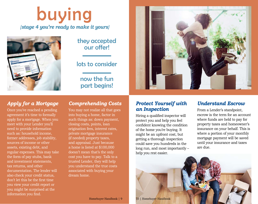### buying *{stage 4 you're ready to make it yours}*



### they accepted our offer!

### lots to consider

### now the fun part begins!



### *Apply for a Mortgage*

Once you've reached a pending agreement it's time to formally apply for a mortgage. When you meet with your Lender you'll need to provide information such as: household income, former addresses, job stability, sources of income or other assets, existing debt, and regular expenses. This may take the form of pay stubs, bank and investment statements, tax returns, and other documentation. The lender will also check your credit status, don't let this be the first time you view your credit report or you might be surprised at the information you find.

### *Comprehending Costs*

You may not realize all that goes into buying a home, factor in such things as: down payment, closing costs, points, loan origination fees, interest rates, private mortgage insurance (if needed) property taxes, and appraisal. Just because a home is listed at \$100,000 doesn't mean that's the only cost you have to pay. Talk to a trusted Lender, they will help you understand the true costs associated with buying your dream home.

### *Protect Yourself with an Inspection*

Hiring a qualified inspector will protect you and help you feel confident knowing the condition of the home you're buying. It might be an upfront cost, but getting a thorough inspection could save you hundreds in the long run, and most importantly – help you rest easier.

### *Understand Escrow*

From a Lender's standpoint, escrow is the term for an account where funds are held to pay for property taxes and homeowner's insurance on your behalf. This is where a portion of your monthly mortgage payment will be saved until your insurance and taxes are due.